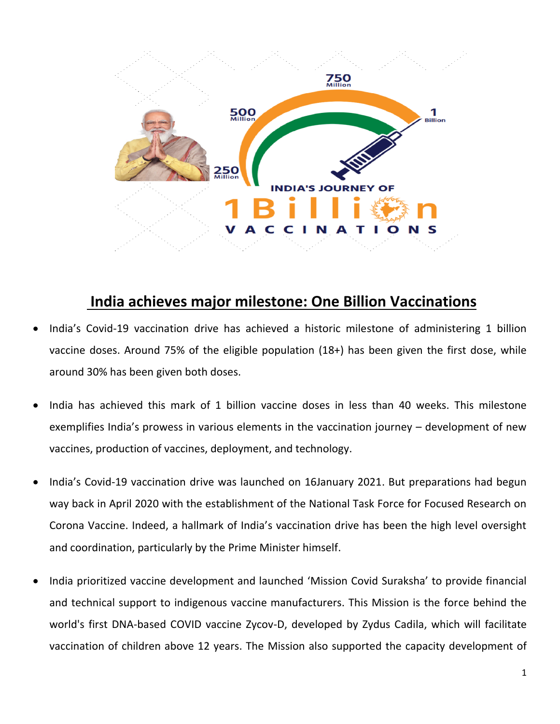

## **India achieves major milestone: One Billion Vaccinations**

- India's Covid-19 vaccination drive has achieved a historic milestone of administering 1 billion vaccine doses. Around 75% of the eligible population (18+) has been given the first dose, while around 30% has been given both doses.
- India has achieved this mark of 1 billion vaccine doses in less than 40 weeks. This milestone exemplifies India's prowess in various elements in the vaccination journey – development of new vaccines, production of vaccines, deployment, and technology.
- India's Covid-19 vaccination drive was launched on 16January 2021. But preparations had begun way back in April 2020 with the establishment of the National Task Force for Focused Research on Corona Vaccine. Indeed, a hallmark of India's vaccination drive has been the high level oversight and coordination, particularly by the Prime Minister himself.
- India prioritized vaccine development and launched 'Mission Covid Suraksha' to provide financial and technical support to indigenous vaccine manufacturers. This Mission is the force behind the world's first DNA-based COVID vaccine Zycov-D, developed by Zydus Cadila, which will facilitate vaccination of children above 12 years. The Mission also supported the capacity development of